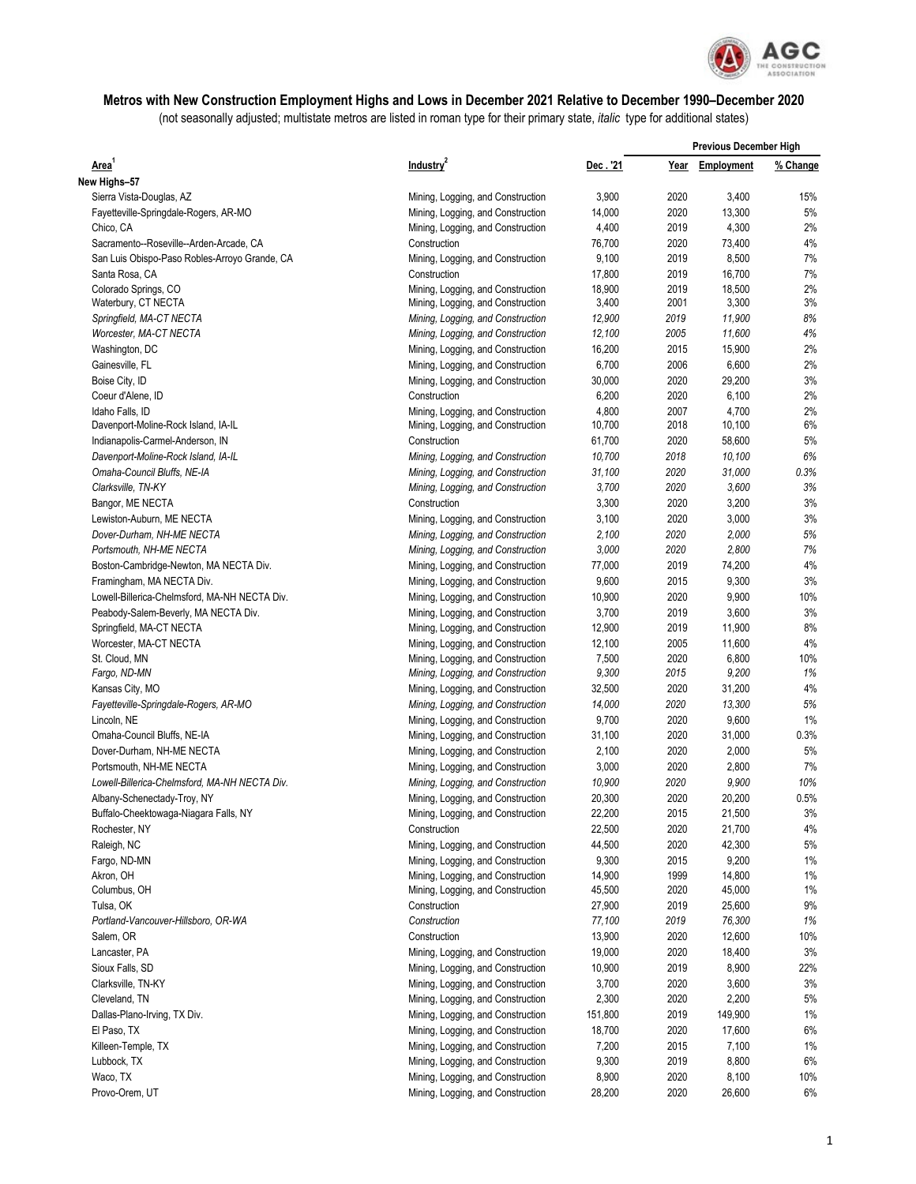

## **Metros with New Construction Employment Highs and Lows in December 2021 Relative to December 1990–December 2020**

(not seasonally adjusted; multistate metros are listed in roman type for their primary state, *italic* type for additional states)

| Area                                          |                                   |         | <b>Previous December High</b> |            |          |
|-----------------------------------------------|-----------------------------------|---------|-------------------------------|------------|----------|
|                                               | Industry <sup>2</sup>             | Dec.'21 | Year                          | Employment | % Change |
| New Highs-57                                  |                                   |         |                               |            |          |
| Sierra Vista-Douglas, AZ                      | Mining, Logging, and Construction | 3,900   | 2020                          | 3,400      | 15%      |
| Fayetteville-Springdale-Rogers, AR-MO         | Mining, Logging, and Construction | 14,000  | 2020                          | 13,300     | 5%       |
| Chico, CA                                     | Mining, Logging, and Construction | 4,400   | 2019                          | 4,300      | 2%       |
| Sacramento--Roseville--Arden-Arcade, CA       | Construction                      | 76,700  | 2020                          | 73,400     | 4%       |
| San Luis Obispo-Paso Robles-Arroyo Grande, CA | Mining, Logging, and Construction | 9,100   | 2019                          | 8,500      | 7%       |
| Santa Rosa, CA                                | Construction                      | 17,800  | 2019                          | 16,700     | 7%       |
| Colorado Springs, CO                          | Mining, Logging, and Construction | 18,900  | 2019                          | 18,500     | 2%       |
| Waterbury, CT NECTA                           | Mining, Logging, and Construction | 3,400   | 2001                          | 3,300      | 3%       |
| Springfield, MA-CT NECTA                      | Mining, Logging, and Construction | 12,900  | 2019                          | 11,900     | 8%       |
| Worcester, MA-CT NECTA                        | Mining, Logging, and Construction | 12,100  | 2005                          | 11,600     | 4%       |
| Washington, DC                                | Mining, Logging, and Construction | 16,200  | 2015                          | 15,900     | 2%       |
| Gainesville, FL                               | Mining, Logging, and Construction | 6,700   | 2006                          | 6,600      | 2%       |
| Boise City, ID                                | Mining, Logging, and Construction | 30,000  | 2020                          | 29,200     | 3%       |
| Coeur d'Alene, ID                             | Construction                      | 6,200   | 2020                          | 6,100      | 2%       |
| Idaho Falls, ID                               | Mining, Logging, and Construction | 4,800   | 2007                          | 4,700      | 2%       |
| Davenport-Moline-Rock Island, IA-IL           | Mining, Logging, and Construction | 10,700  | 2018                          | 10,100     | 6%       |
| Indianapolis-Carmel-Anderson, IN              | Construction                      | 61,700  | 2020                          | 58,600     | 5%       |
| Davenport-Moline-Rock Island, IA-IL           | Mining, Logging, and Construction | 10,700  | 2018                          | 10,100     | 6%       |
| Omaha-Council Bluffs, NE-IA                   | Mining, Logging, and Construction | 31,100  | 2020                          | 31.000     | 0.3%     |
| Clarksville, TN-KY                            | Mining, Logging, and Construction | 3,700   | 2020                          | 3,600      | 3%       |
| Bangor, ME NECTA                              | Construction                      | 3,300   | 2020                          | 3,200      | 3%       |
| Lewiston-Auburn, ME NECTA                     | Mining, Logging, and Construction | 3,100   | 2020                          | 3,000      | 3%       |
| Dover-Durham, NH-ME NECTA                     | Mining, Logging, and Construction | 2,100   | 2020                          | 2,000      | 5%       |
| Portsmouth, NH-ME NECTA                       | Mining, Logging, and Construction | 3,000   | 2020                          | 2,800      | 7%       |
| Boston-Cambridge-Newton, MA NECTA Div.        | Mining, Logging, and Construction | 77,000  | 2019                          | 74,200     | 4%       |
| Framingham, MA NECTA Div.                     | Mining, Logging, and Construction | 9,600   | 2015                          | 9,300      | 3%       |
| Lowell-Billerica-Chelmsford, MA-NH NECTA Div. | Mining, Logging, and Construction | 10,900  | 2020                          | 9,900      | 10%      |
| Peabody-Salem-Beverly, MA NECTA Div.          | Mining, Logging, and Construction | 3,700   | 2019                          | 3,600      | 3%       |
| Springfield, MA-CT NECTA                      | Mining, Logging, and Construction | 12,900  | 2019                          | 11,900     | 8%       |
| Worcester, MA-CT NECTA                        | Mining, Logging, and Construction | 12,100  | 2005                          | 11,600     | 4%       |
| St. Cloud, MN                                 | Mining, Logging, and Construction | 7,500   | 2020                          | 6,800      | 10%      |
| Fargo, ND-MN                                  | Mining, Logging, and Construction | 9,300   | 2015                          | 9,200      | 1%       |
| Kansas City, MO                               | Mining, Logging, and Construction | 32,500  | 2020                          | 31,200     | 4%       |
| Fayetteville-Springdale-Rogers, AR-MO         | Mining, Logging, and Construction | 14,000  | 2020                          | 13,300     | 5%       |
| Lincoln, NE                                   | Mining, Logging, and Construction | 9,700   | 2020                          | 9,600      | 1%       |
| Omaha-Council Bluffs, NE-IA                   | Mining, Logging, and Construction | 31,100  | 2020                          | 31,000     | 0.3%     |
| Dover-Durham, NH-ME NECTA                     | Mining, Logging, and Construction | 2,100   | 2020                          | 2,000      | 5%       |
| Portsmouth, NH-ME NECTA                       | Mining, Logging, and Construction | 3,000   | 2020                          | 2,800      | 7%       |
| Lowell-Billerica-Chelmsford, MA-NH NECTA Div. | Mining, Logging, and Construction | 10,900  | 2020                          | 9,900      | 10%      |
| Albany-Schenectady-Troy, NY                   | Mining, Logging, and Construction | 20,300  | 2020                          | 20,200     | 0.5%     |
| Buffalo-Cheektowaga-Niagara Falls, NY         | Mining, Logging, and Construction | 22,200  | 2015                          | 21,500     | $3%$     |
| Rochester, NY                                 | Construction                      | 22,500  | 2020                          | 21,700     | $4\%$    |
| Raleigh, NC                                   | Mining, Logging, and Construction | 44,500  | 2020                          | 42,300     | 5%       |
| Fargo, ND-MN                                  | Mining, Logging, and Construction | 9,300   | 2015                          | 9,200      | 1%       |
| Akron, OH                                     | Mining, Logging, and Construction | 14,900  | 1999                          | 14,800     | 1%       |
| Columbus, OH                                  | Mining, Logging, and Construction | 45,500  | 2020                          | 45,000     | 1%       |
| Tulsa, OK                                     | Construction                      | 27,900  | 2019                          | 25,600     | 9%       |
| Portland-Vancouver-Hillsboro, OR-WA           | Construction                      | 77,100  | 2019                          | 76,300     | 1%       |
| Salem, OR                                     | Construction                      | 13,900  | 2020                          | 12,600     | 10%      |
| Lancaster, PA                                 | Mining, Logging, and Construction | 19,000  | 2020                          | 18,400     | 3%       |
| Sioux Falls, SD                               | Mining, Logging, and Construction | 10,900  | 2019                          | 8,900      | 22%      |
| Clarksville, TN-KY                            | Mining, Logging, and Construction | 3,700   | 2020                          | 3,600      | 3%       |
| Cleveland, TN                                 | Mining, Logging, and Construction | 2,300   | 2020                          | 2,200      | 5%       |
| Dallas-Plano-Irving, TX Div.                  | Mining, Logging, and Construction | 151,800 | 2019                          | 149,900    | 1%       |
| El Paso, TX                                   | Mining, Logging, and Construction | 18,700  | 2020                          | 17,600     | 6%       |
| Killeen-Temple, TX                            | Mining, Logging, and Construction | 7,200   | 2015                          | 7,100      | 1%       |
| Lubbock, TX                                   | Mining, Logging, and Construction | 9,300   | 2019                          | 8,800      | 6%       |
| Waco, TX                                      | Mining, Logging, and Construction | 8,900   | 2020                          | 8,100      | 10%      |
| Provo-Orem, UT                                | Mining, Logging, and Construction | 28,200  | 2020                          | 26,600     | 6%       |